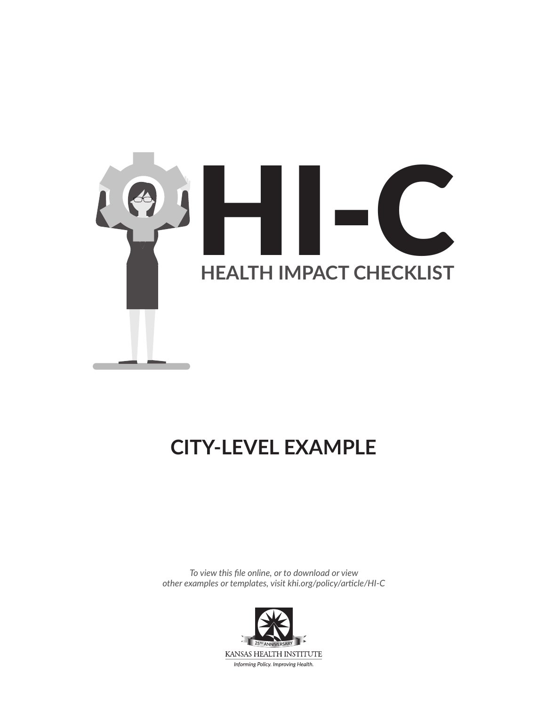

# **CITY-LEVEL EXAMPLE**

*To view this file online, or to download or view other examples or templates, visit [khi.org/policy/article/HI-C](https://www.khi.org/policy/article/HI-C)*

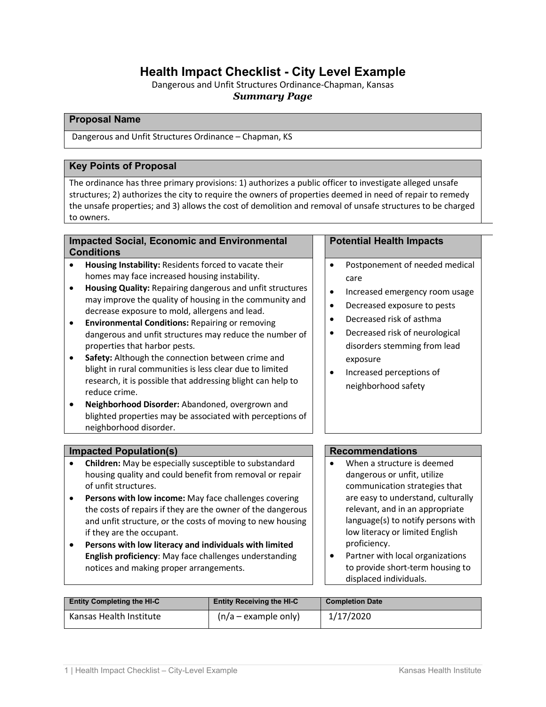# **Health Impact Checklist - City Level Example**

Dangerous and Unfit Structures Ordinance-Chapman, Kansas *Summary Page*

### **Proposal Name**

Dangerous and Unfit Structures Ordinance – Chapman, KS

# **Key Points of Proposal**

The ordinance has three primary provisions: 1) authorizes a public officer to investigate alleged unsafe structures; 2) authorizes the city to require the owners of properties deemed in need of repair to remedy the unsafe properties; and 3) allows the cost of demolition and removal of unsafe structures to be charged to owners.

## **Impacted Social, Economic and Environmental Conditions**

- **Housing Instability:** Residents forced to vacate their homes may face increased housing instability.
- **Housing Quality:** Repairing dangerous and unfit structures may improve the quality of housing in the community and decrease exposure to mold, allergens and lead.
- **Environmental Conditions:** Repairing or removing dangerous and unfit structures may reduce the number of properties that harbor pests.
- **Safety:** Although the connection between crime and blight in rural communities is less clear due to limited research, it is possible that addressing blight can help to reduce crime.
- **Neighborhood Disorder:** Abandoned, overgrown and blighted properties may be associated with perceptions of neighborhood disorder.

# **Impacted Population(s) Recommendations**

- **Children:** May be especially susceptible to substandard housing quality and could benefit from removal or repair of unfit structures.
- **Persons with low income:** May face challenges covering the costs of repairs if they are the owner of the dangerous and unfit structure, or the costs of moving to new housing if they are the occupant.
- **Persons with low literacy and individuals with limited English proficiency**: May face challenges understanding notices and making proper arrangements.

# **Potential Health Impacts**

- Postponement of needed medical care
- Increased emergency room usage
- Decreased exposure to pests
- Decreased risk of asthma
- Decreased risk of neurological disorders stemming from lead exposure
- Increased perceptions of neighborhood safety

- When a structure is deemed dangerous or unfit, utilize communication strategies that are easy to understand, culturally relevant, and in an appropriate language(s) to notify persons with low literacy or limited English proficiency.
- Partner with local organizations to provide short-term housing to displaced individuals.

| <b>Entity Completing the HI-C</b> | <b>Entity Receiving the HI-C</b> | <b>Completion Date</b> |
|-----------------------------------|----------------------------------|------------------------|
| Kansas Health Institute           | $(n/a - example$ only)           | 1/17/2020              |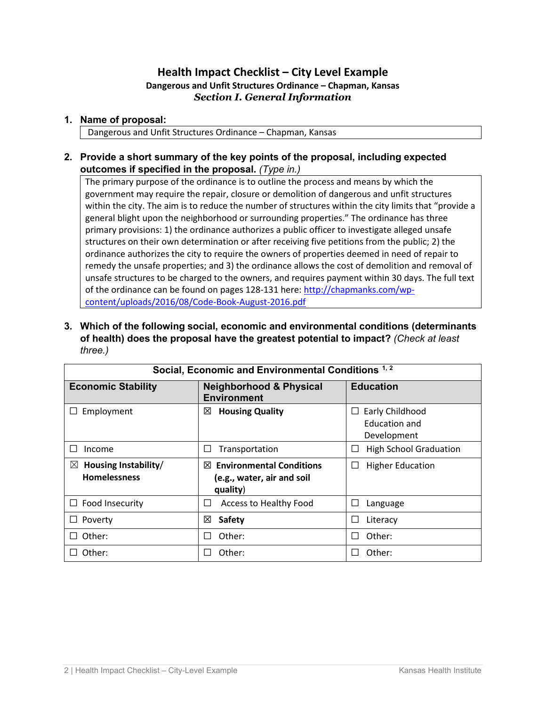# **Health Impact Checklist – City Level Example Dangerous and Unfit Structures Ordinance – Chapman, Kansas** *Section I. General Information*

# **1. Name of proposal:**

Dangerous and Unfit Structures Ordinance – Chapman, Kansas

**2. Provide a short summary of the key points of the proposal, including expected outcomes if specified in the proposal.** *(Type in.)*

The primary purpose of the ordinance is to outline the process and means by which the government may require the repair, closure or demolition of dangerous and unfit structures within the city. The aim is to reduce the number of structures within the city limits that "provide a general blight upon the neighborhood or surrounding properties." The ordinance has three primary provisions: 1) the ordinance authorizes a public officer to investigate alleged unsafe structures on their own determination or after receiving five petitions from the public; 2) the ordinance authorizes the city to require the owners of properties deemed in need of repair to remedy the unsafe properties; and 3) the ordinance allows the cost of demolition and removal of unsafe structures to be charged to the owners, and requires payment within 30 days. The full text of the ordinance can be found on pages 128-131 here: [http://chapmanks.com/wp](http://chapmanks.com/wp-content/uploads/2016/08/Code-Book-August-2016.pdf)[content/uploads/2016/08/Code-Book-August-2016.pdf](http://chapmanks.com/wp-content/uploads/2016/08/Code-Book-August-2016.pdf)

**3. Which of the following social, economic and environmental conditions (determinants of health) does the proposal have the greatest potential to impact?** *(Check at least three.)*

| Social, Economic and Environmental Conditions 1, 2         |                                                                                |                                                        |  |
|------------------------------------------------------------|--------------------------------------------------------------------------------|--------------------------------------------------------|--|
| <b>Economic Stability</b>                                  | <b>Neighborhood &amp; Physical</b><br><b>Environment</b>                       | <b>Education</b>                                       |  |
| Employment                                                 | <b>Housing Quality</b><br>⊠                                                    | Early Childhood<br><b>Education and</b><br>Development |  |
| Income                                                     | Transportation                                                                 | <b>High School Graduation</b>                          |  |
| Housing Instability/<br>$\boxtimes$<br><b>Homelessness</b> | <b>Environmental Conditions</b><br>⊠<br>(e.g., water, air and soil<br>quality) | <b>Higher Education</b><br>ப                           |  |
| $\Box$ Food Insecurity                                     | Access to Healthy Food                                                         | Language                                               |  |
| Poverty                                                    | ⊠<br><b>Safety</b>                                                             | Literacy<br>$\mathcal{L}$                              |  |
| Other:                                                     | Other:                                                                         | Other:                                                 |  |
| Other:                                                     | Other:                                                                         | Other:                                                 |  |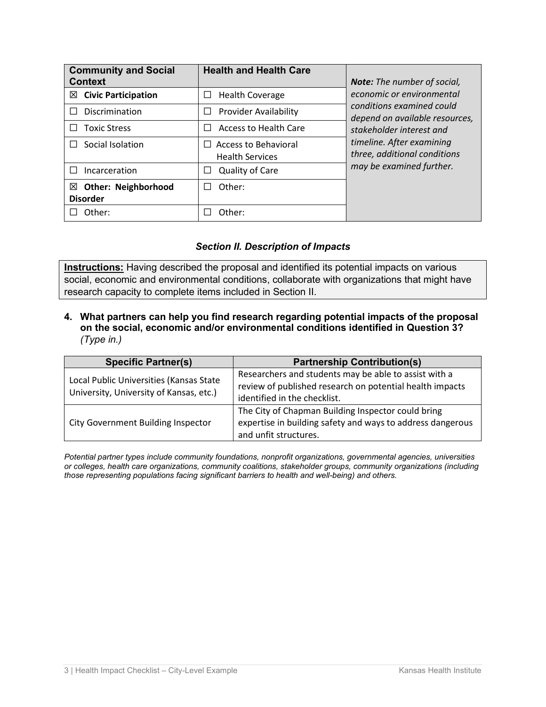| <b>Community and Social</b><br><b>Context</b>      | <b>Health and Health Care</b>                         | <b>Note:</b> The number of social,                          |
|----------------------------------------------------|-------------------------------------------------------|-------------------------------------------------------------|
| $\boxtimes$ Civic Participation                    | <b>Health Coverage</b><br>⊔                           | economic or environmental                                   |
| Discrimination                                     | <b>Provider Availability</b><br>$\Box$                | conditions examined could<br>depend on available resources, |
| <b>Toxic Stress</b>                                | <b>Access to Health Care</b>                          | stakeholder interest and                                    |
| Social Isolation                                   | <b>Access to Behavioral</b><br><b>Health Services</b> | timeline. After examining<br>three, additional conditions   |
| Incarceration                                      | <b>Quality of Care</b>                                | may be examined further.                                    |
| <b>Other: Neighborhood</b><br>⊠<br><b>Disorder</b> | Other:                                                |                                                             |
| Other:                                             | Other:                                                |                                                             |

# *Section II. Description of Impacts*

**Instructions:** Having described the proposal and identified its potential impacts on various social, economic and environmental conditions, collaborate with organizations that might have research capacity to complete items included in Section II.

**4. What partners can help you find research regarding potential impacts of the proposal on the social, economic and/or environmental conditions identified in Question 3?** *(Type in.)*

| <b>Specific Partner(s)</b>                                                         | <b>Partnership Contribution(s)</b>                                                                                                                |
|------------------------------------------------------------------------------------|---------------------------------------------------------------------------------------------------------------------------------------------------|
| Local Public Universities (Kansas State<br>University, University of Kansas, etc.) | Researchers and students may be able to assist with a<br>review of published research on potential health impacts<br>identified in the checklist. |
| <b>City Government Building Inspector</b>                                          | The City of Chapman Building Inspector could bring<br>expertise in building safety and ways to address dangerous<br>and unfit structures.         |

*Potential partner types include community foundations, nonprofit organizations, governmental agencies, universities or colleges, health care organizations, community coalitions, stakeholder groups, community organizations (including those representing populations facing significant barriers to health and well-being) and others.*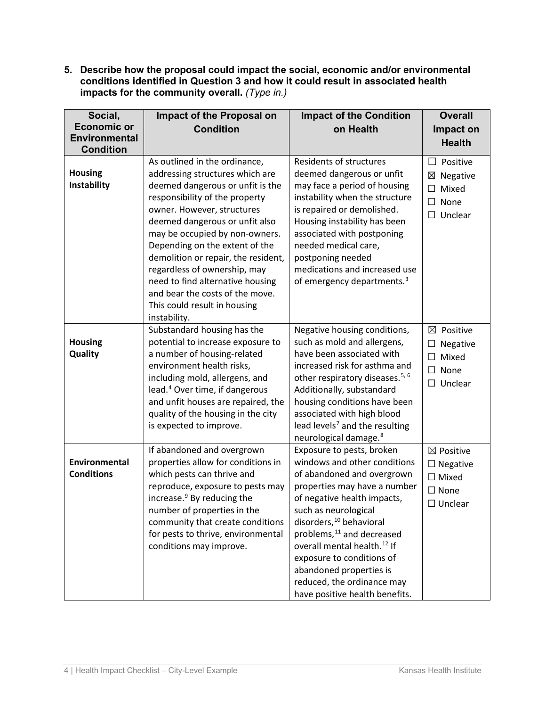**5. Describe how the proposal could impact the social, economic and/or environmental conditions identified in Question 3 and how it could result in associated health impacts for the community overall.** *(Type in.)*

| Social,              | Impact of the Proposal on                                     | <b>Impact of the Condition</b>                                           | <b>Overall</b>       |
|----------------------|---------------------------------------------------------------|--------------------------------------------------------------------------|----------------------|
| <b>Economic or</b>   | <b>Condition</b>                                              | on Health                                                                | Impact on            |
| <b>Environmental</b> |                                                               |                                                                          | <b>Health</b>        |
| <b>Condition</b>     |                                                               |                                                                          |                      |
|                      | As outlined in the ordinance,                                 | <b>Residents of structures</b>                                           | Positive<br>$\Box$   |
| <b>Housing</b>       | addressing structures which are                               | deemed dangerous or unfit                                                | ⊠<br>Negative        |
| Instability          | deemed dangerous or unfit is the                              | may face a period of housing                                             | Mixed<br>$\Box$      |
|                      | responsibility of the property<br>owner. However, structures  | instability when the structure                                           | $\Box$<br>None       |
|                      | deemed dangerous or unfit also                                | is repaired or demolished.<br>Housing instability has been               | $\Box$ Unclear       |
|                      | may be occupied by non-owners.                                | associated with postponing                                               |                      |
|                      | Depending on the extent of the                                | needed medical care,                                                     |                      |
|                      | demolition or repair, the resident,                           | postponing needed                                                        |                      |
|                      | regardless of ownership, may                                  | medications and increased use                                            |                      |
|                      | need to find alternative housing                              | of emergency departments. <sup>3</sup>                                   |                      |
|                      | and bear the costs of the move.                               |                                                                          |                      |
|                      | This could result in housing                                  |                                                                          |                      |
|                      | instability.                                                  |                                                                          |                      |
|                      | Substandard housing has the                                   | Negative housing conditions,                                             | ⊠<br>Positive        |
| <b>Housing</b>       | potential to increase exposure to                             | such as mold and allergens,                                              | Negative<br>□        |
| Quality              | a number of housing-related                                   | have been associated with                                                | Mixed<br>$\Box$      |
|                      | environment health risks,                                     | increased risk for asthma and                                            | $\square$ None       |
|                      | including mold, allergens, and                                | other respiratory diseases. <sup>5, 6</sup>                              | Unclear<br>$\Box$    |
|                      | lead. <sup>4</sup> Over time, if dangerous                    | Additionally, substandard                                                |                      |
|                      | and unfit houses are repaired, the                            | housing conditions have been                                             |                      |
|                      | quality of the housing in the city<br>is expected to improve. | associated with high blood<br>lead levels <sup>7</sup> and the resulting |                      |
|                      |                                                               | neurological damage. <sup>8</sup>                                        |                      |
|                      | If abandoned and overgrown                                    | Exposure to pests, broken                                                | $\boxtimes$ Positive |
| Environmental        | properties allow for conditions in                            | windows and other conditions                                             | $\Box$ Negative      |
| <b>Conditions</b>    | which pests can thrive and                                    | of abandoned and overgrown                                               | $\Box$ Mixed         |
|                      | reproduce, exposure to pests may                              | properties may have a number                                             | $\square$ None       |
|                      | increase. <sup>9</sup> By reducing the                        | of negative health impacts,                                              | $\Box$ Unclear       |
|                      | number of properties in the                                   | such as neurological                                                     |                      |
|                      | community that create conditions                              | disorders, <sup>10</sup> behavioral                                      |                      |
|                      | for pests to thrive, environmental                            | problems, <sup>11</sup> and decreased                                    |                      |
|                      | conditions may improve.                                       | overall mental health. <sup>12</sup> If                                  |                      |
|                      |                                                               | exposure to conditions of                                                |                      |
|                      |                                                               | abandoned properties is                                                  |                      |
|                      |                                                               | reduced, the ordinance may<br>have positive health benefits.             |                      |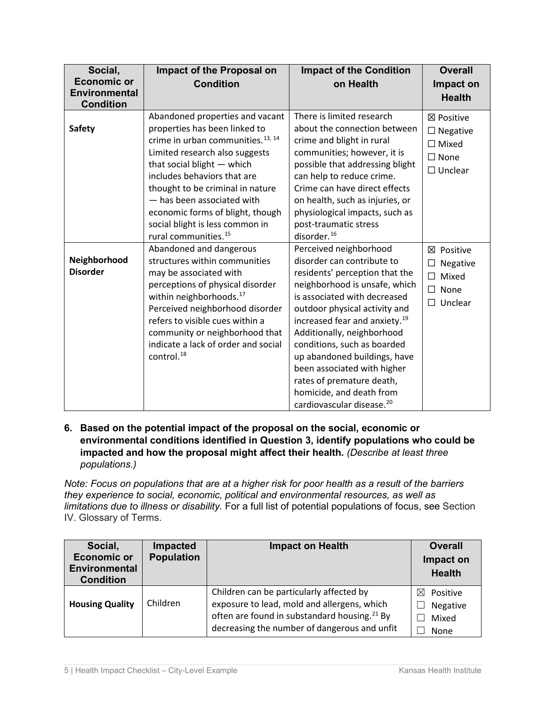| Social,              | Impact of the Proposal on                     | <b>Impact of the Condition</b>            | <b>Overall</b>    |
|----------------------|-----------------------------------------------|-------------------------------------------|-------------------|
| <b>Economic or</b>   | <b>Condition</b>                              | on Health                                 | Impact on         |
| <b>Environmental</b> |                                               |                                           | <b>Health</b>     |
| <b>Condition</b>     |                                               |                                           |                   |
|                      | Abandoned properties and vacant               | There is limited research                 | ⊠ Positive        |
| <b>Safety</b>        | properties has been linked to                 | about the connection between              | $\Box$ Negative   |
|                      | crime in urban communities. <sup>13, 14</sup> | crime and blight in rural                 | $\Box$ Mixed      |
|                      | Limited research also suggests                | communities; however, it is               | $\Box$ None       |
|                      | that social blight - which                    | possible that addressing blight           | $\Box$ Unclear    |
|                      | includes behaviors that are                   | can help to reduce crime.                 |                   |
|                      | thought to be criminal in nature              | Crime can have direct effects             |                   |
|                      | - has been associated with                    | on health, such as injuries, or           |                   |
|                      | economic forms of blight, though              | physiological impacts, such as            |                   |
|                      | social blight is less common in               | post-traumatic stress                     |                   |
|                      | rural communities. <sup>15</sup>              | disorder. <sup>16</sup>                   |                   |
|                      | Abandoned and dangerous                       | Perceived neighborhood                    | ⊠<br>Positive     |
| Neighborhood         | structures within communities                 | disorder can contribute to                | Negative<br>ப     |
| <b>Disorder</b>      | may be associated with                        | residents' perception that the            | Mixed<br>□        |
|                      | perceptions of physical disorder              | neighborhood is unsafe, which             | $\Box$<br>None    |
|                      | within neighborhoods. <sup>17</sup>           | is associated with decreased              | Unclear<br>$\Box$ |
|                      | Perceived neighborhood disorder               | outdoor physical activity and             |                   |
|                      | refers to visible cues within a               | increased fear and anxiety. <sup>19</sup> |                   |
|                      | community or neighborhood that                | Additionally, neighborhood                |                   |
|                      | indicate a lack of order and social           | conditions, such as boarded               |                   |
|                      | control. <sup>18</sup>                        | up abandoned buildings, have              |                   |
|                      |                                               | been associated with higher               |                   |
|                      |                                               | rates of premature death,                 |                   |
|                      |                                               | homicide, and death from                  |                   |
|                      |                                               | cardiovascular disease. <sup>20</sup>     |                   |

**6. Based on the potential impact of the proposal on the social, economic or environmental conditions identified in Question 3, identify populations who could be impacted and how the proposal might affect their health.** *(Describe at least three populations.)*

*Note: Focus on populations that are at a higher risk for poor health as a result of the barriers they experience to social, economic, political and environmental resources, as well as limitations due to illness or disability.* For a full list of potential populations of focus, see Section IV. Glossary of Terms.

| Social,<br><b>Economic or</b><br><b>Environmental</b><br><b>Condition</b> | Impacted<br><b>Population</b> | <b>Impact on Health</b>                                                                                                                                                                             | <b>Overall</b><br>Impact on<br><b>Health</b> |
|---------------------------------------------------------------------------|-------------------------------|-----------------------------------------------------------------------------------------------------------------------------------------------------------------------------------------------------|----------------------------------------------|
| <b>Housing Quality</b>                                                    | Children                      | Children can be particularly affected by<br>exposure to lead, mold and allergens, which<br>often are found in substandard housing. <sup>21</sup> By<br>decreasing the number of dangerous and unfit | ⊠<br>Positive<br>Negative<br>Mixed<br>None   |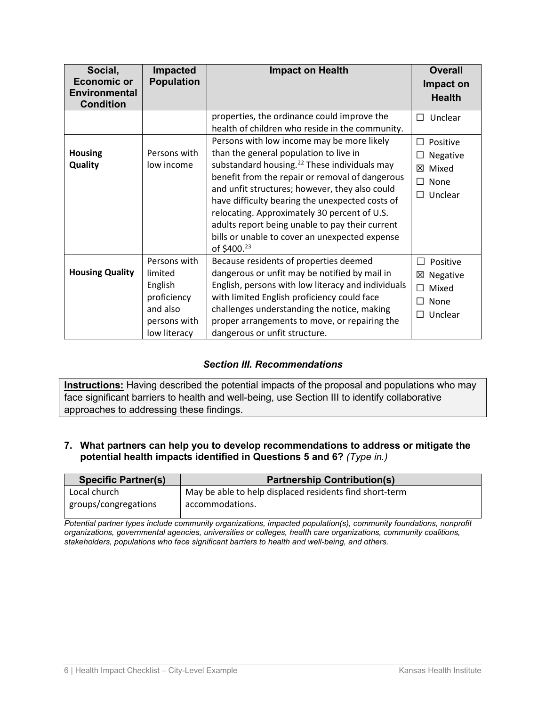| Social,<br><b>Economic or</b> | Impacted<br><b>Population</b> | <b>Impact on Health</b>                                  | <b>Overall</b>             |
|-------------------------------|-------------------------------|----------------------------------------------------------|----------------------------|
| <b>Environmental</b>          |                               |                                                          | Impact on<br><b>Health</b> |
| <b>Condition</b>              |                               |                                                          |                            |
|                               |                               | properties, the ordinance could improve the              | $\Box$ Unclear             |
|                               |                               | health of children who reside in the community.          |                            |
|                               |                               | Persons with low income may be more likely               | Positive<br>П              |
| <b>Housing</b>                | Persons with                  | than the general population to live in                   | Negative                   |
| Quality                       | low income                    | substandard housing. <sup>22</sup> These individuals may | Mixed<br>冈                 |
|                               |                               | benefit from the repair or removal of dangerous          | П<br>None                  |
|                               |                               | and unfit structures; however, they also could           | Unclear<br>$\Box$          |
|                               |                               | have difficulty bearing the unexpected costs of          |                            |
|                               |                               | relocating. Approximately 30 percent of U.S.             |                            |
|                               |                               | adults report being unable to pay their current          |                            |
|                               |                               | bills or unable to cover an unexpected expense           |                            |
|                               |                               | of \$400. <sup>23</sup>                                  |                            |
|                               | Persons with                  | Because residents of properties deemed                   | Positive<br>$\mathbf{I}$   |
| <b>Housing Quality</b>        | limited                       | dangerous or unfit may be notified by mail in            | ⊠ Negative                 |
|                               | English                       | English, persons with low literacy and individuals       | Mixed<br>П                 |
|                               | proficiency                   | with limited English proficiency could face              | П<br>None                  |
|                               | and also                      | challenges understanding the notice, making              | Unclear<br>П               |
|                               | persons with                  | proper arrangements to move, or repairing the            |                            |
|                               | low literacy                  | dangerous or unfit structure.                            |                            |

# *Section III. Recommendations*

**Instructions:** Having described the potential impacts of the proposal and populations who may face significant barriers to health and well-being, use Section III to identify collaborative approaches to addressing these findings.

# **7. What partners can help you to develop recommendations to address or mitigate the potential health impacts identified in Questions 5 and 6?** *(Type in.)*

| <b>Specific Partner(s)</b> | <b>Partnership Contribution(s)</b>                      |
|----------------------------|---------------------------------------------------------|
| Local church               | May be able to help displaced residents find short-term |
| groups/congregations       | accommodations.                                         |

*Potential partner types include community organizations, impacted population(s), community foundations, nonprofit organizations, governmental agencies, universities or colleges, health care organizations, community coalitions, stakeholders, populations who face significant barriers to health and well-being, and others.*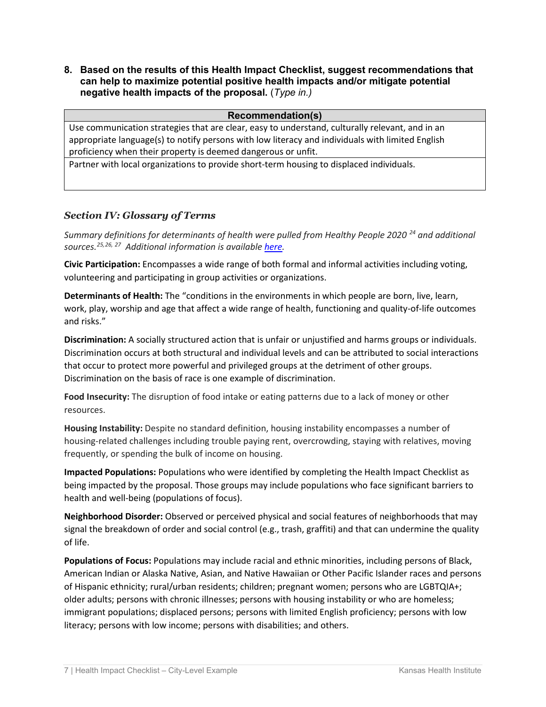**8. Based on the results of this Health Impact Checklist, suggest recommendations that can help to maximize potential positive health impacts and/or mitigate potential negative health impacts of the proposal.** (*Type in.)*

#### **Recommendation(s)**

Use communication strategies that are clear, easy to understand, culturally relevant, and in an appropriate language(s) to notify persons with low literacy and individuals with limited English proficiency when their property is deemed dangerous or unfit.

Partner with local organizations to provide short-term housing to displaced individuals.

# *Section IV: Glossary of Terms*

*Summary definitions for determinants of health were pulled from Healthy People 2020<sup>[24](#page-9-12)</sup> and additional sources.[25,](#page-9-13)[26,](#page-9-14) [27](#page-9-15) Additional information is available [here.](https://www.healthypeople.gov/2020/topics-objectives/topic/social-determinants-health/interventions-resources)*

**Civic Participation:** Encompasses a wide range of both formal and informal activities including voting, volunteering and participating in group activities or organizations.

**Determinants of Health:** The "conditions in the environments in which people are born, live, learn, work, play, worship and age that affect a wide range of health, functioning and quality-of-life outcomes and risks."

**Discrimination:** A socially structured action that is unfair or unjustified and harms groups or individuals. Discrimination occurs at both structural and individual levels and can be attributed to social interactions that occur to protect more powerful and privileged groups at the detriment of other groups. Discrimination on the basis of race is one example of discrimination.

**Food Insecurity:** The disruption of food intake or eating patterns due to a lack of money or other resources.

**Housing Instability:** Despite no standard definition, housing instability encompasses a number of housing-related challenges including trouble paying rent, overcrowding, staying with relatives, moving frequently, or spending the bulk of income on housing.

**Impacted Populations:** Populations who were identified by completing the Health Impact Checklist as being impacted by the proposal. Those groups may include populations who face significant barriers to health and well-being (populations of focus).

**Neighborhood Disorder:** Observed or perceived physical and social features of neighborhoods that may signal the breakdown of order and social control (e.g., trash, graffiti) and that can undermine the quality of life.

**Populations of Focus:** Populations may include racial and ethnic minorities, including persons of Black, American Indian or Alaska Native, Asian, and Native Hawaiian or Other Pacific Islander races and persons of Hispanic ethnicity; rural/urban residents; children; pregnant women; persons who are LGBTQIA+; older adults; persons with chronic illnesses; persons with housing instability or who are homeless; immigrant populations; displaced persons; persons with limited English proficiency; persons with low literacy; persons with low income; persons with disabilities; and others.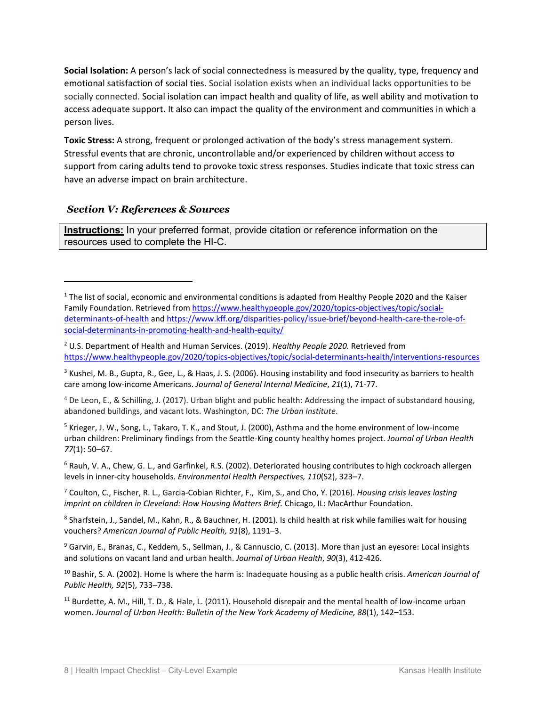**Social Isolation:** A person's lack of social connectedness is measured by the quality, type, frequency and emotional satisfaction of social ties. Social isolation exists when an individual lacks opportunities to be socially connected. Social isolation can impact health and quality of life, as well ability and motivation to access adequate support. It also can impact the quality of the environment and communities in which a person lives.

**Toxic Stress:** A strong, frequent or prolonged activation of the body's stress management system. Stressful events that are chronic, uncontrollable and/or experienced by children without access to support from caring adults tend to provoke toxic stress responses. Studies indicate that toxic stress can have an adverse impact on brain architecture.

# *Section V: References & Sources*

**Instructions:** In your preferred format, provide citation or reference information on the resources used to complete the HI-C.

<span id="page-8-2"></span><sup>3</sup> Kushel, M. B., Gupta, R., Gee, L., & Haas, J. S. (2006). Housing instability and food insecurity as barriers to health care among low-income Americans. *Journal of General Internal Medicine*, *21*(1), 71-77.

<span id="page-8-3"></span><sup>4</sup> De Leon, E., & Schilling, J. (2017). Urban blight and public health: Addressing the impact of substandard housing, abandoned buildings, and vacant lots. Washington, DC: *The Urban Institute*.

<span id="page-8-4"></span><sup>5</sup> Krieger, J. W., Song, L., Takaro, T. K., and Stout, J. (2000), Asthma and the home environment of low-income urban children: Preliminary findings from the Seattle-King county healthy homes project. *Journal of Urban Health 77*(1): 50–67.

<span id="page-8-5"></span> $6$  Rauh, V. A., Chew, G. L., and Garfinkel, R.S. (2002). Deteriorated housing contributes to high cockroach allergen levels in inner-city households. *Environmental Health Perspectives, 110*(S2), 323–7.

<span id="page-8-6"></span><sup>7</sup> Coulton, C., Fischer, R. L., Garcia-Cobian Richter, F., Kim, S., and Cho, Y. (2016). *Housing crisis leaves lasting imprint on children in Cleveland: How Housing Matters Brief.* Chicago, IL: MacArthur Foundation.

<span id="page-8-7"></span>8 Sharfstein, J., Sandel, M., Kahn, R., & Bauchner, H. (2001). Is child health at risk while families wait for housing vouchers? *American Journal of Public Health, 91*(8), 1191–3.

<span id="page-8-8"></span><sup>9</sup> Garvin, E., Branas, C., Keddem, S., Sellman, J., & Cannuscio, C. (2013). More than just an eyesore: Local insights and solutions on vacant land and urban health. *Journal of Urban Health*, *90*(3), 412-426.

<span id="page-8-9"></span><sup>10</sup> Bashir, S. A. (2002). Home Is where the harm is: Inadequate housing as a public health crisis. *American Journal of Public Health, 92*(5), 733–738.

<span id="page-8-10"></span><sup>11</sup> Burdette, A. M., Hill, T. D., & Hale, L. (2011). Household disrepair and the mental health of low-income urban women. *Journal of Urban Health: Bulletin of the New York Academy of Medicine, 88*(1), 142–153.

<span id="page-8-0"></span><sup>&</sup>lt;sup>1</sup> The list of social, economic and environmental conditions is adapted from Healthy People 2020 and the Kaiser Family Foundation. Retrieved fro[m https://www.healthypeople.gov/2020/topics-objectives/topic/social](https://www.healthypeople.gov/2020/topics-objectives/topic/social-determinants-of-health)[determinants-of-health](https://www.healthypeople.gov/2020/topics-objectives/topic/social-determinants-of-health) and [https://www.kff.org/disparities-policy/issue-brief/beyond-health-care-the-role-of](https://www.kff.org/disparities-policy/issue-brief/beyond-health-care-the-role-of-social-determinants-in-promoting-health-and-health-equity/)[social-determinants-in-promoting-health-and-health-equity/](https://www.kff.org/disparities-policy/issue-brief/beyond-health-care-the-role-of-social-determinants-in-promoting-health-and-health-equity/)

<span id="page-8-1"></span><sup>2</sup> U.S. Department of Health and Human Services. (2019). *Healthy People 2020.* Retrieved from <https://www.healthypeople.gov/2020/topics-objectives/topic/social-determinants-health/interventions-resources>